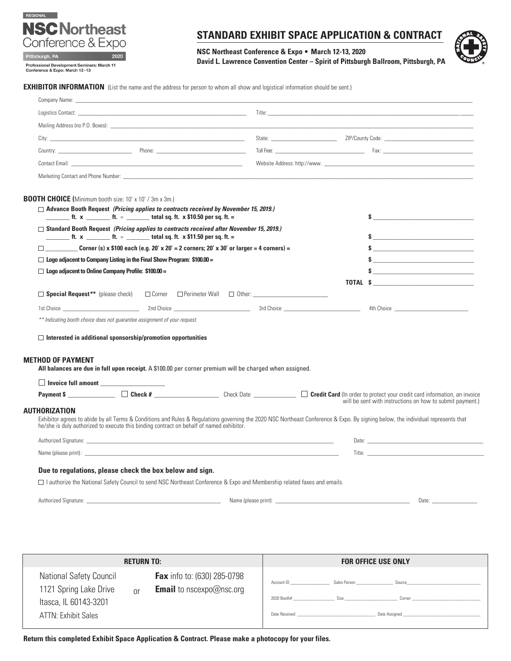# REGIONAL **NSC Northeast** Conference & Expo

Professional Development Seminars: March 11<br>Conference & Expo: March 12-13

2020

Pittsburgh, PA

# **STANDARD EXHIBIT SPACE APPLICATION & CONTRACT**

**NSC Northeast Conference & Expo** • **March 12-13, 2020 David L. Lawrence Convention Center – Spirit of Pittsburgh Ballroom, Pittsburgh, PA**



**EXHIBITOR INFORMATION** (List the name and the address for person to whom all show and logistical information should be sent.)

|                                                                                                                                                                                                                                                                              | Title: The contract of the contract of the contract of the contract of the contract of the contract of the contract of the contract of the contract of the contract of the contract of the contract of the contract of the con       |                                                                                                                                                                                                                               |  |  |  |
|------------------------------------------------------------------------------------------------------------------------------------------------------------------------------------------------------------------------------------------------------------------------------|--------------------------------------------------------------------------------------------------------------------------------------------------------------------------------------------------------------------------------------|-------------------------------------------------------------------------------------------------------------------------------------------------------------------------------------------------------------------------------|--|--|--|
|                                                                                                                                                                                                                                                                              |                                                                                                                                                                                                                                      |                                                                                                                                                                                                                               |  |  |  |
|                                                                                                                                                                                                                                                                              |                                                                                                                                                                                                                                      |                                                                                                                                                                                                                               |  |  |  |
|                                                                                                                                                                                                                                                                              |                                                                                                                                                                                                                                      |                                                                                                                                                                                                                               |  |  |  |
| Contact Email: <b>Example 2018</b>                                                                                                                                                                                                                                           |                                                                                                                                                                                                                                      |                                                                                                                                                                                                                               |  |  |  |
|                                                                                                                                                                                                                                                                              |                                                                                                                                                                                                                                      |                                                                                                                                                                                                                               |  |  |  |
|                                                                                                                                                                                                                                                                              |                                                                                                                                                                                                                                      |                                                                                                                                                                                                                               |  |  |  |
| <b>BOOTH CHOICE (</b> Minimum booth size: 10' x 10' / 3m x 3m.)                                                                                                                                                                                                              |                                                                                                                                                                                                                                      |                                                                                                                                                                                                                               |  |  |  |
| $\Box$ Advance Booth Request (Pricing applies to contracts received by November 15, 2019.)<br>$\frac{1}{2}$ ft. x $\frac{1}{2}$ ft. = $\frac{1}{2}$ total sq. ft. x \$10.50 per sq. ft. =                                                                                    |                                                                                                                                                                                                                                      |                                                                                                                                                                                                                               |  |  |  |
| $\Box$ Standard Booth Request (Pricing applies to contracts received after November 15, 2019.)                                                                                                                                                                               |                                                                                                                                                                                                                                      |                                                                                                                                                                                                                               |  |  |  |
|                                                                                                                                                                                                                                                                              |                                                                                                                                                                                                                                      |                                                                                                                                                                                                                               |  |  |  |
| Corner (s) x \$100 each (e.g. 20' x 20' = 2 corners; 20' x 30' or larger = 4 corners) =<br>П                                                                                                                                                                                 |                                                                                                                                                                                                                                      |                                                                                                                                                                                                                               |  |  |  |
|                                                                                                                                                                                                                                                                              | $\Box$ Logo adjacent to Company Listing in the Final Show Program: \$100.00 =                                                                                                                                                        |                                                                                                                                                                                                                               |  |  |  |
| $\Box$ Logo adjacent to Online Company Profile: \$100.00 =                                                                                                                                                                                                                   |                                                                                                                                                                                                                                      |                                                                                                                                                                                                                               |  |  |  |
|                                                                                                                                                                                                                                                                              |                                                                                                                                                                                                                                      |                                                                                                                                                                                                                               |  |  |  |
|                                                                                                                                                                                                                                                                              |                                                                                                                                                                                                                                      |                                                                                                                                                                                                                               |  |  |  |
|                                                                                                                                                                                                                                                                              |                                                                                                                                                                                                                                      |                                                                                                                                                                                                                               |  |  |  |
| ** Indicating booth choice does not guarantee assignment of your request.                                                                                                                                                                                                    |                                                                                                                                                                                                                                      |                                                                                                                                                                                                                               |  |  |  |
| $\Box$ Interested in additional sponsorship/promotion opportunities                                                                                                                                                                                                          |                                                                                                                                                                                                                                      |                                                                                                                                                                                                                               |  |  |  |
| METHOD OF PAYMENT                                                                                                                                                                                                                                                            |                                                                                                                                                                                                                                      |                                                                                                                                                                                                                               |  |  |  |
| All balances are due in full upon receipt. A \$100.00 per corner premium will be charged when assigned.                                                                                                                                                                      |                                                                                                                                                                                                                                      |                                                                                                                                                                                                                               |  |  |  |
| Invoice full amount                                                                                                                                                                                                                                                          |                                                                                                                                                                                                                                      |                                                                                                                                                                                                                               |  |  |  |
| Payment \$ __________________ Check # _______________________ Check Date _______________ Credit Card (In order to protect your credit card information, an invoice                                                                                                           |                                                                                                                                                                                                                                      | will be sent with instructions on how to submit payment.)                                                                                                                                                                     |  |  |  |
| AUTHORIZATION                                                                                                                                                                                                                                                                |                                                                                                                                                                                                                                      |                                                                                                                                                                                                                               |  |  |  |
| Exhibitor agrees to abide by all Terms & Conditions and Rules & Regulations governing the 2020 NSC Northeast Conference & Expo. By signing below, the individual represents that<br>he/she is duly authorized to execute this binding contract on behalf of named exhibitor. |                                                                                                                                                                                                                                      |                                                                                                                                                                                                                               |  |  |  |
| Authorized Signature: Law and the contract of the contract of the contract of the contract of the contract of the contract of the contract of the contract of the contract of the contract of the contract of the contract of                                                | Date: <u>and the contract of the contract of the contract of the contract of the contract of the contract of the contract of the contract of the contract of the contract of the contract of the contract of the contract of the</u> |                                                                                                                                                                                                                               |  |  |  |
|                                                                                                                                                                                                                                                                              | Title: The contract of the contract of the contract of the contract of the contract of the contract of the contract of the contract of the contract of the contract of the contract of the contract of the contract of the con       |                                                                                                                                                                                                                               |  |  |  |
| Due to regulations, please check the box below and sign.                                                                                                                                                                                                                     |                                                                                                                                                                                                                                      |                                                                                                                                                                                                                               |  |  |  |
| $\Box$ I authorize the National Safety Council to send NSC Northeast Conference & Expo and Membership related faxes and emails.                                                                                                                                              |                                                                                                                                                                                                                                      |                                                                                                                                                                                                                               |  |  |  |
| Authorized Signature: Authorized Signature:                                                                                                                                                                                                                                  |                                                                                                                                                                                                                                      | Date: and the contract of the contract of the contract of the contract of the contract of the contract of the contract of the contract of the contract of the contract of the contract of the contract of the contract of the |  |  |  |
|                                                                                                                                                                                                                                                                              |                                                                                                                                                                                                                                      |                                                                                                                                                                                                                               |  |  |  |

| <b>RETURN TO:</b>                                                                                                      |                                                                       |                                                 | <b>FOR OFFICE USE ONLY</b> |                                   |
|------------------------------------------------------------------------------------------------------------------------|-----------------------------------------------------------------------|-------------------------------------------------|----------------------------|-----------------------------------|
| <b>National Safety Council</b><br>1121 Spring Lake Drive<br>$\Omega$ r<br>Itasca, IL 60143-3201<br>ATTN: Exhibit Sales | <b>Fax</b> info to: (630) 285-0798<br><b>Email</b> to nscexpo@nsc.org | Account ID<br>2020 Booth# Size<br>Date Received | Sales Person               | Source<br>Corner<br>Date Assigned |

**Return this completed Exhibit Space Application & Contract. Please make a photocopy for your files.**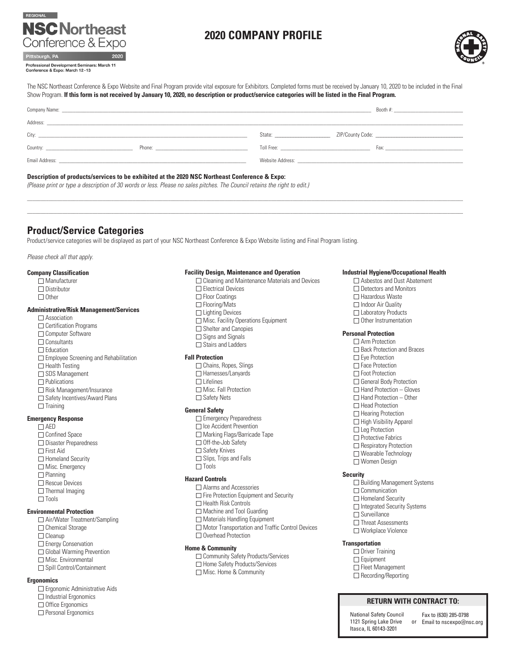# REGIONAL **NSC Northeast** Conference & Expo

# **2020 COMPANY PROFILE**



Professional Development Seminars: March 11 Conference & Expo: March 12-13

The NSC Northeast Conference & Expo Website and Final Program provide vital exposure for Exhibitors. Completed forms must be received by January 10, 2020 to be included in the Final Show Program. **If this form is not received by January 10, 2020, no description or product/service categories will be listed in the Final Program.**

|                                                                                                                                                                                                                               |                                                                                                                                                                                                                                | State: The State of the State of the State of the State of the State of the State of the State of the State of the State of the State of the State of the State of the State of the State of the State of the State of the Sta |                                                                                                                                                                                                                                |
|-------------------------------------------------------------------------------------------------------------------------------------------------------------------------------------------------------------------------------|--------------------------------------------------------------------------------------------------------------------------------------------------------------------------------------------------------------------------------|--------------------------------------------------------------------------------------------------------------------------------------------------------------------------------------------------------------------------------|--------------------------------------------------------------------------------------------------------------------------------------------------------------------------------------------------------------------------------|
|                                                                                                                                                                                                                               | Phone: The contract of the contract of the contract of the contract of the contract of the contract of the contract of the contract of the contract of the contract of the contract of the contract of the contract of the con | Toll Free: The Commission of the Commission of the Commission of the Commission of the Commission of the Commission of the Commission of the Commission of the Commission of the Commission of the Commission of the Commissio | Fax: The contract of the contract of the contract of the contract of the contract of the contract of the contract of the contract of the contract of the contract of the contract of the contract of the contract of the contr |
| Email Address: North American Security of the Security of the Security of the Security of the Security of the Security of the Security of the Security of the Security of the Security of the Security of the Security of the |                                                                                                                                                                                                                                | Website Address: Website Address: Website Address: Website Address: Website Address: Website Address: Website Address: Website Address: Website Address: Website Address: Website Address: Website Address: Website Address: W |                                                                                                                                                                                                                                |
|                                                                                                                                                                                                                               |                                                                                                                                                                                                                                |                                                                                                                                                                                                                                |                                                                                                                                                                                                                                |

 $\_$  , and the state of the state of the state of the state of the state of the state of the state of the state of the state of the state of the state of the state of the state of the state of the state of the state of the \_\_\_\_\_\_\_\_\_\_\_\_\_\_\_\_\_\_\_\_\_\_\_\_\_\_\_\_\_\_\_\_\_\_\_\_\_\_\_\_\_\_\_\_\_\_\_\_\_\_\_\_\_\_\_\_\_\_\_\_\_\_\_\_\_\_\_\_\_\_\_\_\_\_\_\_\_\_\_\_\_\_\_\_\_\_\_\_\_\_\_\_\_\_\_\_\_\_\_\_\_\_\_\_\_\_\_\_\_\_\_\_\_\_\_\_\_\_\_\_\_\_\_\_\_\_\_\_\_\_\_\_\_\_\_\_\_\_\_\_\_\_\_\_\_\_\_\_\_\_\_\_\_\_\_\_\_\_\_\_\_

# **Description of products/services to be exhibited at the 2020 NSC Northeast Conference & Expo:**

*(Please print or type a description of 30 words or less. Please no sales pitches. The Council retains the right to edit.)* 

# **Product/Service Categories**

Product/service categories will be displayed as part of your NSC Northeast Conference & Expo Website listing and Final Program listing.

*Please check all that apply.* 

#### **Company Classification**  $\Box$  Manufacturer

- $\Box$  Distributor  $\Box$  Other **Administrative/Risk Management/Services** □ Association  $\Box$  Certification Programs □ Computer Software □ Consultants □ Education Employee Screening and Rehabilitation  $\Box$  Health Testing □ SDS Management  $\Box$  Publications □ Risk Management/Insurance □ Safety Incentives/Award Plans
	- $\Box$  Training

#### **Emergency Response**

AED  $\Box$  Confined Space □ Disaster Preparedness First Aid □ Homeland Security □ Misc. Emergency  $\Box$  Planning □ Rescue Devices  $\Box$  Thermal Imaging  $\Box$  Tools

# **Environmental Protection**

- □ Air/Water Treatment/Sampling □ Chemical Storage
- □ Cleanup
- **Energy Conservation** Global Warming Prevention
- □ Misc. Environmental
- □ Spill Control/Containment

#### **Ergonomics**

- Ergonomic Administrative Aids
- $\Box$  Industrial Ergonomics
- □ Office Ergonomics
- □ Personal Ergonomics

### **Facility Design, Maintenance and Operation**

□ Cleaning and Maintenance Materials and Devices □ Electrical Devices □ Floor Coatings □ Flooring/Mats □ Lighting Devices  $\square$  Misc. Facility Operations Equipment □ Shelter and Canopies  $\Box$  Signs and Signals  $\Box$  Stairs and Ladders

### **Fall Protection**

- $\Box$  Chains, Ropes, Slings □ Harnesses/Lanyards  $\Box$  Lifelines □ Misc. Fall Protection
- $\Box$  Safety Nets

# **General Safety**

- □ Emergency Preparedness □ Ice Accident Prevention □ Marking Flags/Barricade Tape □ Off-the-Job Safety □ Safety Knives
- $\Box$  Slips, Trips and Falls
- $\Box$  Tools

# **Hazard Controls**

- Alarms and Accessories
- Fire Protection Equipment and Security
- $\Box$  Health Risk Controls
- □ Machine and Tool Guarding
- □ Materials Handling Equipment □ Motor Transportation and Traffic Control Devices
- Overhead Protection

#### **Home & Community**

□ Community Safety Products/Services □ Home Safety Products/Services □ Misc. Home & Community

#### **Industrial Hygiene/Occupational Health**

□ Asbestos and Dust Abatement □ Detectors and Monitors □ Hazardous Waste □ Indoor Air Quality □ Laboratory Products □ Other Instrumentation

# **Personal Protection**

Arm Protection □ Back Protection and Braces  $\square$  Eve Protection □ Face Protection □ Foot Protection □ General Body Protection  $\Box$  Hand Protection – Gloves  $\Box$  Hand Protection – Other □ Head Protection □ Hearing Protection  $\Box$  High Visibility Apparel □ Leg Protection □ Protective Fabrics □ Respiratory Protection Wearable Technology Women Design

## **Security**

- □ Building Management Systems  $\Box$  Communication □ Homeland Security □ Integrated Security Systems  $\square$  Surveillance □ Threat Assessments
- Workplace Violence

## **Transportation**

- $\Box$  Driver Training □ Equipment □ Fleet Management
- □ Recording/Reporting

# **RETURN WITH CONTRACT TO:**

National Safety Council 1121 Spring Lake Drive Itasca, IL 60143-3201

or Email to nscexpo@nsc.org Fax to (630) 285-0798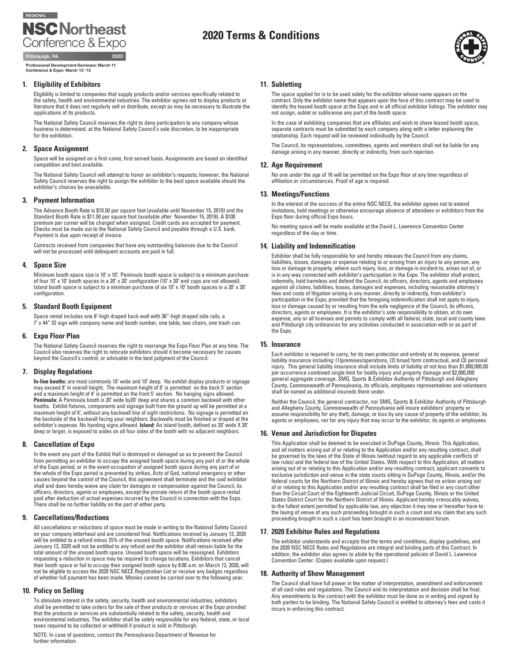

# **2020 Terms & Conditions**



Professional Development Seminars: March 11 Conference & Expo: March 12-13

#### **1. Eligibility of Exhibitors**

Eligibility is limited to companies that supply products and/or services specifically related to the safety, health and environmental industries. The exhibitor agrees not to display products or literature that it does not regularly sell or distribute, except as may be necessary to illustrate the applications of its products.

The National Safety Council reserves the right to deny participation to any company whose business is determined, at the National Safety Council's sole discretion, to be inappropriate for the exhibition.

### **2. Space Assignment**

Space will be assigned on a first-come, first-served basis. Assignments are based on identified competition and best available.

The National Safety Council will attempt to honor an exhibitor's requests; however, the National Safety Council reserves the right to assign the exhibitor to the best space available should the exhibitor's choices be unavailable.

### **3. Payment Information**

The Advance Booth Rate is \$10.50 per square foot (available until November 15, 2019) and the Standard Booth Rate is \$11.50 per square foot (available after November 15, 2019). A \$100 premium per corner will be charged when assigned. Credit cards are accepted for payment. Checks must be made out to the National Safety Council and payable through a U.S. bank. Payment is due upon receipt of invoice.

Contracts received from companies that have any outstanding balances due to the Council will not be processed until delinquent accounts are paid in full.

#### **4. Space Size**

Minimum booth space size is 10' x 10'. Peninsula booth space is subject to a minimum purchase of four 10' x 10' booth spaces in a 20' x 20' configuration (10' x 20' end caps are not allowed). Island booth space is subject to a minimum purchase of six 10' x 10' booth spaces in a 20' x 30' configuration.

### **5. Standard Booth Equipment**

Space rental includes one 8'-high draped back wall with 36"-high draped side rails, a 7' x 44" ID sign with company name and booth number, one table, two chairs, one trash can.

#### **6. Expo Floor Plan**

The National Safety Council reserves the right to rearrange the Expo Floor Plan at any time. The Council also reserves the right to relocate exhibitors should it become necessary for causes beyond the Council's control, or advisable in the best judgment of the Council.

### **7. Display Regulations**

**In-line booths:** are most commonly 10' wide and 10' deep. No exhibit display products or signage may exceed 8' in overall height. The maximum height of 8' is permitted on the back 5' section and a maximum height of 4' is permitted on the front 5' section. No hanging signs allowed. **Peninsula:** A Peninsula booth is 20' wide by20' deep and shares a common backwall with other booths. Exhibit fixtures, components and signage built from the ground up will be permitted at a<br>maximum height of 6', without any backwall line of sight restrictions. No signage is permitted on<br>the backside of the backwal exhibitor's expense. No handing signs allowed. Island: An island booth, defined as 20' wide X 30' deep or larger, is exposed to aisles on all four sides of the booth with no adjacent neighbors.

#### **8. Cancellation of Expo**

In the event any part of the Exhibit Hall is destroyed or damaged so as to prevent the Council from permitting an exhibitor to occupy the assigned booth space during any part of or the whole of the Expo period, or in the event occupation of assigned booth space during any part of or the whole of the Expo period is prevented by strikes, Acts of God, national emergency or other causes beyond the control of the Council, this agreement shall terminate and the said exhibitor<br>shall and does hereby waive any claim for damages or compensation against the Council, its<br>officers, directors, agents or empl paid after deduction of actual expenses incurred by the Council in connection with the Expo. There shall be no further liability on the part of either party.

## **9. Cancellations/Reductions**

All cancellations or reductions of space must be made in writing to the National Safety Council on your company letterhead and are considered final. Notifications received by January 13, 2020 will be entitled to a refund minus 25% of the unused booth space. Notifications received after January 13, 2020 will not be entitled to any refund and the exhibitor shall remain liable for the total amount of the unused booth space. Unused booth space will be reassigned. Exhibitors requesting a reduction in space may be required to change locations. Exhibitors that cancel their booth space or fail to occupy their assigned booth space by 8:00 a.m. on March 12, 2020, will not be eligible to access the 2020 NSC NECE Registration List or receive any badges regardless of whether full payment has been made. Monies cannot be carried over to the following year.

#### **10. Policy on Selling**

To stimulate interest in the safety, security, health and environmental industries, exhibitors shall be permitted to take orders for the sale of their products or services at the Expo provided<br>that the products or services are substantially related to the safety, security, health and<br>environmental industries. The ex taxes required to be collected or withheld if product is sold in Pittsburgh.

NOTE: In case of questions, contact the Pennsylvania Department of Revenue for further information.

#### **11. Subletting**

The space applied for is to be used solely for the exhibitor whose name appears on the contract. Only the exhibitor name that appears upon the face of this contract may be used to identify the leased booth space at the Expo and in all official exhibitor listings. The exhibitor may not assign, sublet or sublicense any part of the booth space.

In the case of exhibiting companies that are affiliates and wish to share leased booth space, separate contracts must be submitted by each company along with a letter explaining the relationship. Each request will be reviewed individually by the Council.

The Council, its representatives, committees, agents and members shall not be liable for any damage arising in any manner, directly or indirectly, from such rejection.

#### **12. Age Requirement**

No one under the age of 16 will be permitted on the Expo floor at any time regardless of affiliation or circumstances. Proof of age is required.

#### **13. Meetings/Functions**

In the interest of the success of the entire NSC NECE, the exhibitor agrees not to extend invitations, hold meetings or otherwise encourage absence of attendees or exhibitors from the Expo floor during official Expo hours.

No meeting space will be made available at the David L. Lawrence Convention Center regardless of the day or time.

#### **14. Liability and Indemnification**

Exhibitor shall be fully responsible for and hereby releases the Council from any claims, liabilities, losses, damages or expense relating to or arising from an injury to any person, any loss or damage to property, where such injury, loss, or damage is incident to, arises out of, or is in any way connected with exhibitor's participation in the Expo. The exhibitor shall protect, indemnify, hold harmless and defend the Council, its officers, directors, agents and employees against all claims, liabilities, losses, damages and expenses, including reasonable attorney's fees and costs of litigation arising in any manner, directly or indirectly, from exhibitor's participation in the Expo; provided that the foregoing indemnification shall not apply to injury, loss or damage caused by or resulting from the sole negligence of the Council, its officers, directors, agents or employees. It is the exhibitor's sole responsibility to obtain, at its own expense, any or all licenses and permits to comply with all federal, state, local and county laws and Pittsburgh city ordinances for any activities conducted in association with or as part of the Expo.

#### **15. Insurance**

Each exhibitor is required to carry, for its own protection and entirely at its expense, general liability insurance including: (1)premises/operations, (2) broad form contractual, and (3) personal injury. This general liability insurance shall include limits of liability of not less than \$1,000,000.00 per occurrence combined single limit for bodily injury and property damage and \$2,000,000 general aggregate coverage. SMG, Sports & Exhibitor Authority of Pittsburgh and Allegheny County, Commonweatlh of Pennsylvania, its officials, employees representatives and volunteers shall be named as additional insureds there under.

Neither the Council, the general contractor, nor SMG, Sports & Exhibitor Authority of Pittsburgh and Allegheny County, Commonwealth of Pennsylvania will insure exhibitors' property or assume responsibility for any theft, damage, or loss by any cause of property of the exhibitor, its agents or employees, nor for any injury that may occur to the exhibitor, its agents or employees.

#### **16. Venue and Jurisdiction for Disputes**

This Application shall be deemed to be executed in DuPage County, Illinois. This Application, and all matters arising out of or relating to the Application and/or any resulting contract, shall be governed by the laws of the State of Illinois (without regard to any applicable conflicts of law rules) and the federal law of the United States. With respect to this Application, all matters arising out of or relating to this Application and/or any resulting contract, applicant consents to exclusive jurisdiction and venue in the state courts sitting in DuPage County, Illinois, and/or the federal courts for the Northern District of Illinois and hereby agrees that no action arising out of or relating to this Application and/or any resulting contract shall be filed in any court other than the Circuit Court of the Eighteenth Judicial Circuit, DuPage County, Illinois or the United States District Court for the Northern District of Illinois. Applicant hereby irrevocably waives, to the fullest extent permitted by applicable law, any objection it may now or hereafter have to the laying of venue of any such proceeding brought in such a court and any claim that any such proceeding brought in such a court has been brought in an inconvenient forum.

### **17. 2020 Exhibitor Rules and Regulations**

The exhibitor understands and accepts that the terms and conditions, display guidelines, and the 2020 NSC NECE Rules and Regulations are integral and binding parts of this Contract. In addition, the exhibitor also agrees to abide by the operational policies of David L. Lawrence Convention Center. (Copies available upon request.)

#### **18. Authority of Show Management**

The Council shall have full power in the matter of interpretation, amendment and enforcement of all said rules and regulations. The Council and its interpretation and decision shall be final. Any amendments to the contract with the exhibitor must be done so in writing and signed by both parties to be binding. The National Safety Council is entitled to attorney's fees and costs it incurs in enforcing this contract.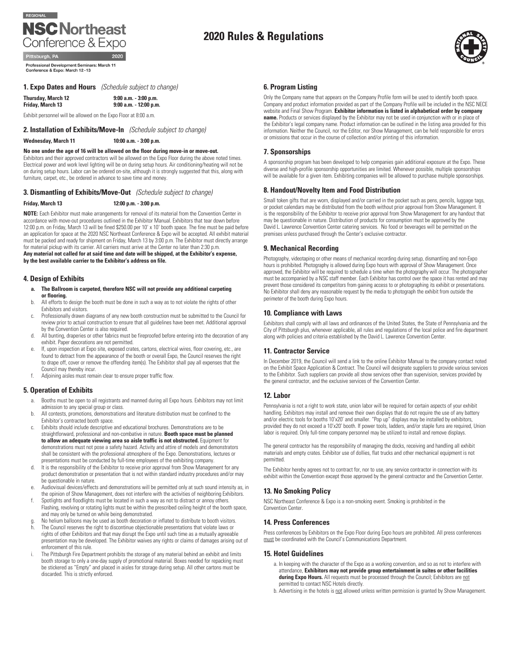# REGIONAL **NSC Northeast** Conference & Expo

Professional Development Seminars: March 11 Conference & Expo: March 12-13

# **1. Expo Dates and Hours** *(Schedule subject to change)*

**Thursday, March 12 9:00 a.m. - 3:00 p.m. Friday, March 13 9:00 a.m. - 12:00 p.m.**

Exhibit personnel will be allowed on the Expo Floor at 8:00 a.m.

# **2. Installation of Exhibits/Move-In** *(Schedule subject to change)*

**Wednesday, March 11 10:00 a.m. - 3:00 p.m.**

# **No one under the age of 16 will be allowed on the floor during move-in or move-out.**

Exhibitors and their approved contractors will be allowed on the Expo Floor during the above noted times. Electrical power and work level lighting will be on during setup hours. Air conditioning/heating will not be on during setup hours. Labor can be ordered on-site, although it is strongly suggested that this, along with furniture, carpet, etc., be ordered in advance to save time and money.

# **3. Dismantling of Exhibits/Move-Out** *(Schedule subject to change)*

# **Friday, March 13 12:00 p.m. - 3:00 p.m.**

**NOTE:** Each Exhibitor must make arrangements for removal of its material from the Convention Center in accordance with move-out procedures outlined in the Exhibitor Manual. Exhibitors that tear down before 12:00 p.m. on Friday, March 13 will be fined \$250.00 per 10' x 10' booth space. The fine must be paid before an application for space at the 2020 NSC Northeast Conference & Expo will be accepted. All exhibit material must be packed and ready for shipment on Friday, March 13 by 3:00 p.m. The Exhibitor must directly arrange for material pickup with its carrier. All carriers must arrive at the Center no later than 2:30 p.m.

**Any material not called for at said time and date will be shipped, at the Exhibitor's expense, by the best available carrier to the Exhibitor's address on file.**

# **4. Design of Exhibits**

- **a. The Ballroom is carpeted, therefore NSC will not provide any additional carpeting or flooring.**
- b. All efforts to design the booth must be done in such a way as to not violate the rights of other Exhibitors and visitors.
- c. Professionally drawn diagrams of any new booth construction must be submitted to the Council for review prior to actual construction to ensure that all guidelines have been met. Additional approval by the Convention Center is also required.
- d. All bunting, draperies or other fabrics must be fireproofed before entering into the decoration of any exhibit. Paper decorations are not permitted.
- e. If, upon inspection at Expo site, exposed crates, cartons, electrical wires, floor covering, etc., are found to detract from the appearance of the booth or overall Expo, the Council reserves the right to drape off, cover or remove the offending item(s). The Exhibitor shall pay all expenses that the Council may thereby incur.
- f. Adjoining aisles must remain clear to ensure proper traffic flow.

# **5. Operation of Exhibits**

- Booths must be open to all registrants and manned during all Expo hours. Exhibitors may not limit admission to any special group or class.
- b. All contests, promotions, demonstrations and literature distribution must be confined to the Exhibitor's contracted booth space.
- c. Exhibits should include descriptive and educational brochures. Demonstrations are to be straightforward, professional and non-combative in nature. **Booth space must be planned to allow an adequate viewing area so aisle traffic is not obstructed.** Equipment for demonstrations must not pose a safety hazard. Activity and attire of models and demonstrators shall be consistent with the professional atmosphere of the Expo. Demonstrations, lectures or presentations must be conducted by full-time employees of the exhibiting company.
- d. It is the responsibility of the Exhibitor to receive prior approval from Show Management for any product demonstration or presentation that is not within standard industry procedures and/or may be questionable in nature.
- e. Audiovisual devices/effects and demonstrations will be permitted only at such sound intensity as, in the opinion of Show Management, does not interfere with the activities of neighboring Exhibitors.
- f. Spotlights and floodlights must be located in such a way as not to distract or annoy others. Flashing, revolving or rotating lights must be within the prescribed ceiling height of the booth space, and may only be turned on while being demonstrated.
- g. No helium balloons may be used as booth decoration or inflated to distribute to booth visitors. h. The Council reserves the right to discontinue objectionable presentations that violate laws or rights of other Exhibitors and that may disrupt the Expo until such time as a mutually agreeable
- presentation may be developed. The Exhibitor waives any rights or claims of damages arising out of enforcement of this rule. i. The Pittsburgh Fire Department prohibits the storage of any material behind an exhibit and limits
- booth storage to only a one-day supply of promotional material. Boxes needed for repacking must be stickered as "Empty" and placed in aisles for storage during setup. All other cartons must be discarded. This is strictly enforced.

# **6. Program Listing**

**2020 Rules & Regulations**

Only the Company name that appears on the Company Profile form will be used to identify booth space. Company and product information provided as part of the Company Profile will be included in the NSC NECE website and Final Show Program. **Exhibitor information is listed in alphabetical order by company name.** Products or services displayed by the Exhibitor may not be used in conjunction with or in place of the Exhibitor's legal company name. Product information can be outlined in the listing area provided for this information. Neither the Council, nor the Editor, nor Show Management, can be held responsible for errors or omissions that occur in the course of collection and/or printing of this information.

# **7. Sponsorships**

A sponsorship program has been developed to help companies gain additional exposure at the Expo. These diverse and high-profile sponsorship opportunities are limited. Whenever possible, multiple sponsorships will be available for a given item. Exhibiting companies will be allowed to purchase multiple sponsorships.

# **8. Handout/Novelty Item and Food Distribution**

Small token gifts that are worn, displayed and/or carried in the pocket such as pens, pencils, luggage tags, or pocket calendars may be distributed from the booth without prior approval from Show Management. It is the responsibility of the Exhibitor to receive prior approval from Show Management for any handout that may be questionable in nature. Distribution of products for consumption must be approved by the David L. Lawrence Convention Center catering services. No food or beverages will be permitted on the premises unless purchased through the Center's exclusive contractor.

### **9. Mechanical Recording**

Photography, videotaping or other means of mechanical recording during setup, dismantling and non-Expo hours is prohibited. Photography is allowed during Expo hours with approval of Show Management. Once approved, the Exhibitor will be required to schedule a time when the photography will occur. The photographer must be accompanied by a NSC staff member. Each Exhibitor has control over the space it has rented and may prevent those considered its competitors from gaining access to or photographing its exhibit or presentations. No Exhibitor shall deny any reasonable request by the media to photograph the exhibit from outside the perimeter of the booth during Expo hours.

### **10. Compliance with Laws**

Exhibitors shall comply with all laws and ordinances of the United States, the State of Pennsylvania and the City of Pittsburgh plus, whenever applicable, all rules and regulations of the local police and fire department along with policies and criteria established by the David L. Lawrence Convention Center.

## **11. Contractor Service**

In December 2019, the Council will send a link to the online Exhibitor Manual to the company contact noted on the Exhibit Space Application & Contract. The Council will designate suppliers to provide various services to the Exhibitor. Such suppliers can provide all show services other than supervision, services provided by the general contractor, and the exclusive services of the Convention Center.

## **12. Labor**

Pennsylvania is not a right to work state, union labor will be required for certain aspects of your exhibit handling. Exhibitors may install and remove their own displays that do not require the use of any battery and/or electric tools for booths 10'x20' and smaller. "Pop up" displays may be installed by exhibitors, provided they do not exceed a 10'x20' booth. If power tools, ladders, and/or staple funs are required, Union labor is required. Only full-time company personnel may be utilized to install and remove displays.

The general contractor has the responsibility of managing the docks, receiving and handling all exhibit materials and empty crates. Exhibitor use of dollies, flat trucks and other mechanical equipment is not permitted.

The Exhibitor hereby agrees not to contract for, nor to use, any service contractor in connection with its exhibit within the Convention except those approved by the general contractor and the Convention Center.

## **13. No Smoking Policy**

NSC Northeast Conference & Expo is a non-smoking event. Smoking is prohibited in the Convention Center.

## **14. Press Conferences**

Press conferences by Exhibitors on the Expo Floor during Expo hours are prohibited. All press conferences must be coordinated with the Council's Communications Department.

#### **15. Hotel Guidelines**

- a. In keeping with the character of the Expo as a working convention, and so as not to interfere with attendance, **Exhibitors may not provide group entertainment in suites or other facilities**  during Expo Hours. All requests must be processed through the Council; Exhibitors are not permitted to contact NSC Hotels directly.
- b. Advertising in the hotels is not allowed unless written permission is granted by Show Management.